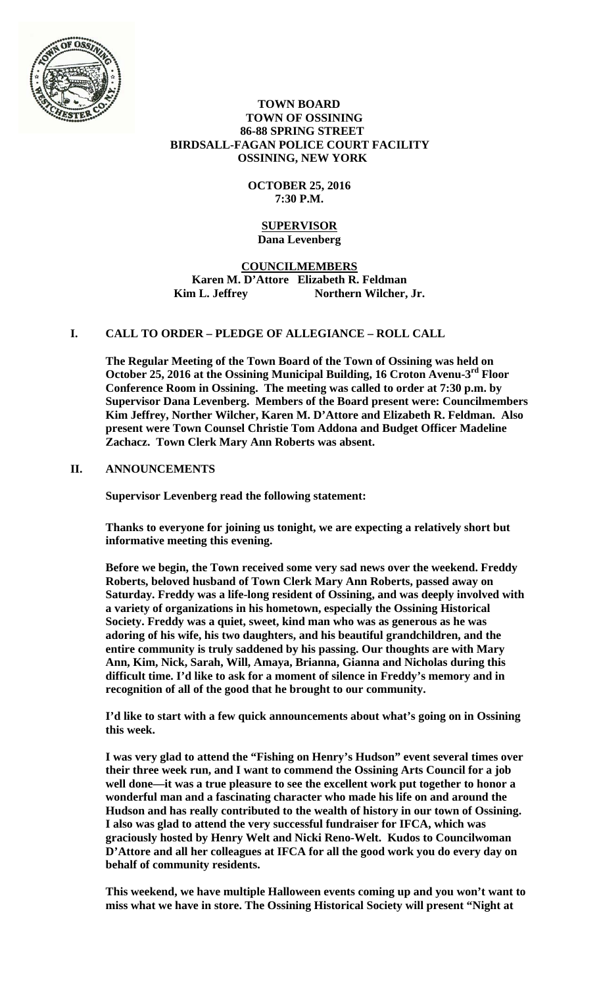

## **TOWN BOARD TOWN OF OSSINING 86-88 SPRING STREET BIRDSALL-FAGAN POLICE COURT FACILITY OSSINING, NEW YORK**

# **OCTOBER 25, 2016 7:30 P.M.**

## **SUPERVISOR Dana Levenberg**

# **COUNCILMEMBERS Karen M. D'Attore Elizabeth R. Feldman**  Kim L. Jeffrey Northern Wilcher, Jr.

# **I. CALL TO ORDER – PLEDGE OF ALLEGIANCE – ROLL CALL**

**The Regular Meeting of the Town Board of the Town of Ossining was held on October 25, 2016 at the Ossining Municipal Building, 16 Croton Avenu-3rd Floor Conference Room in Ossining. The meeting was called to order at 7:30 p.m. by Supervisor Dana Levenberg. Members of the Board present were: Councilmembers Kim Jeffrey, Norther Wilcher, Karen M. D'Attore and Elizabeth R. Feldman. Also present were Town Counsel Christie Tom Addona and Budget Officer Madeline Zachacz. Town Clerk Mary Ann Roberts was absent.** 

## **II. ANNOUNCEMENTS**

**Supervisor Levenberg read the following statement:** 

**Thanks to everyone for joining us tonight, we are expecting a relatively short but informative meeting this evening.** 

**Before we begin, the Town received some very sad news over the weekend. Freddy Roberts, beloved husband of Town Clerk Mary Ann Roberts, passed away on Saturday. Freddy was a life-long resident of Ossining, and was deeply involved with a variety of organizations in his hometown, especially the Ossining Historical Society. Freddy was a quiet, sweet, kind man who was as generous as he was adoring of his wife, his two daughters, and his beautiful grandchildren, and the entire community is truly saddened by his passing. Our thoughts are with Mary Ann, Kim, Nick, Sarah, Will, Amaya, Brianna, Gianna and Nicholas during this difficult time. I'd like to ask for a moment of silence in Freddy's memory and in recognition of all of the good that he brought to our community.** 

**I'd like to start with a few quick announcements about what's going on in Ossining this week.** 

**I was very glad to attend the "Fishing on Henry's Hudson" event several times over their three week run, and I want to commend the Ossining Arts Council for a job well done—it was a true pleasure to see the excellent work put together to honor a wonderful man and a fascinating character who made his life on and around the Hudson and has really contributed to the wealth of history in our town of Ossining. I also was glad to attend the very successful fundraiser for IFCA, which was graciously hosted by Henry Welt and Nicki Reno-Welt. Kudos to Councilwoman D'Attore and all her colleagues at IFCA for all the good work you do every day on behalf of community residents.** 

**This weekend, we have multiple Halloween events coming up and you won't want to miss what we have in store. The Ossining Historical Society will present "Night at**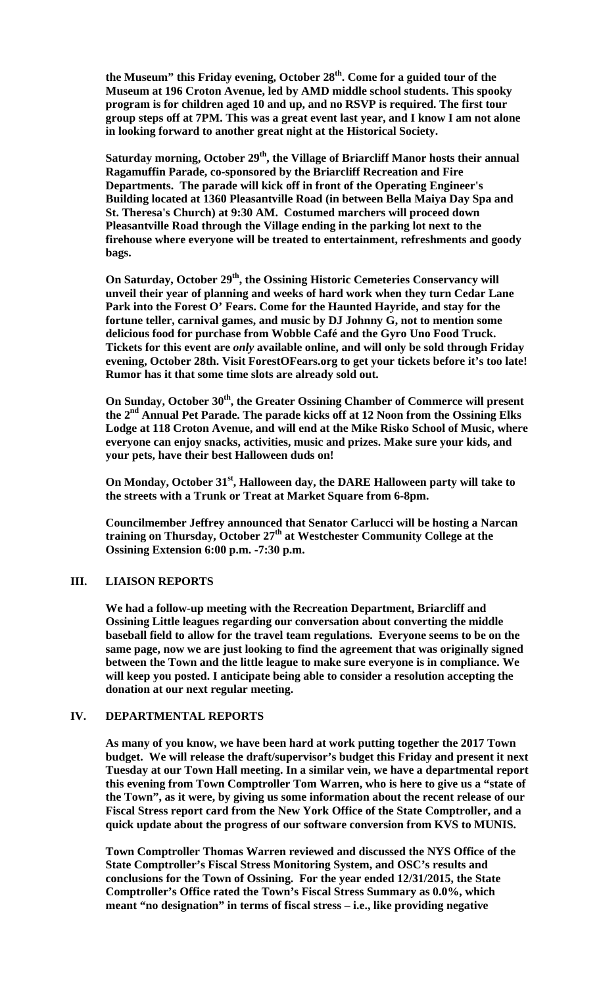the Museum" this Friday evening, October 28<sup>th</sup>. Come for a guided tour of the **Museum at 196 Croton Avenue, led by AMD middle school students. This spooky program is for children aged 10 and up, and no RSVP is required. The first tour group steps off at 7PM. This was a great event last year, and I know I am not alone in looking forward to another great night at the Historical Society.** 

Saturday morning, October 29<sup>th</sup>, the Village of Briarcliff Manor hosts their annual **Ragamuffin Parade, co-sponsored by the Briarcliff Recreation and Fire Departments. The parade will kick off in front of the Operating Engineer's Building located at 1360 Pleasantville Road (in between Bella Maiya Day Spa and St. Theresa's Church) at 9:30 AM. Costumed marchers will proceed down Pleasantville Road through the Village ending in the parking lot next to the firehouse where everyone will be treated to entertainment, refreshments and goody bags.** 

On Saturday, October 29<sup>th</sup>, the Ossining Historic Cemeteries Conservancy will **unveil their year of planning and weeks of hard work when they turn Cedar Lane Park into the Forest O' Fears. Come for the Haunted Hayride, and stay for the fortune teller, carnival games, and music by DJ Johnny G, not to mention some delicious food for purchase from Wobble Café and the Gyro Uno Food Truck. Tickets for this event are** *only* **available online, and will only be sold through Friday evening, October 28th. Visit ForestOFears.org to get your tickets before it's too late! Rumor has it that some time slots are already sold out.** 

On Sunday, October 30<sup>th</sup>, the Greater Ossining Chamber of Commerce will present **the 2nd Annual Pet Parade. The parade kicks off at 12 Noon from the Ossining Elks Lodge at 118 Croton Avenue, and will end at the Mike Risko School of Music, where everyone can enjoy snacks, activities, music and prizes. Make sure your kids, and your pets, have their best Halloween duds on!** 

**On Monday, October 31<sup>st</sup>, Halloween day, the DARE Halloween party will take to the streets with a Trunk or Treat at Market Square from 6-8pm.** 

**Councilmember Jeffrey announced that Senator Carlucci will be hosting a Narcan training on Thursday, October 27th at Westchester Community College at the Ossining Extension 6:00 p.m. -7:30 p.m.** 

### **III. LIAISON REPORTS**

**We had a follow-up meeting with the Recreation Department, Briarcliff and Ossining Little leagues regarding our conversation about converting the middle baseball field to allow for the travel team regulations. Everyone seems to be on the same page, now we are just looking to find the agreement that was originally signed between the Town and the little league to make sure everyone is in compliance. We will keep you posted. I anticipate being able to consider a resolution accepting the donation at our next regular meeting.** 

### **IV. DEPARTMENTAL REPORTS**

**As many of you know, we have been hard at work putting together the 2017 Town budget. We will release the draft/supervisor's budget this Friday and present it next Tuesday at our Town Hall meeting. In a similar vein, we have a departmental report this evening from Town Comptroller Tom Warren, who is here to give us a "state of the Town", as it were, by giving us some information about the recent release of our Fiscal Stress report card from the New York Office of the State Comptroller, and a quick update about the progress of our software conversion from KVS to MUNIS.** 

**Town Comptroller Thomas Warren reviewed and discussed the NYS Office of the State Comptroller's Fiscal Stress Monitoring System, and OSC's results and conclusions for the Town of Ossining. For the year ended 12/31/2015, the State Comptroller's Office rated the Town's Fiscal Stress Summary as 0.0%, which meant "no designation" in terms of fiscal stress – i.e., like providing negative**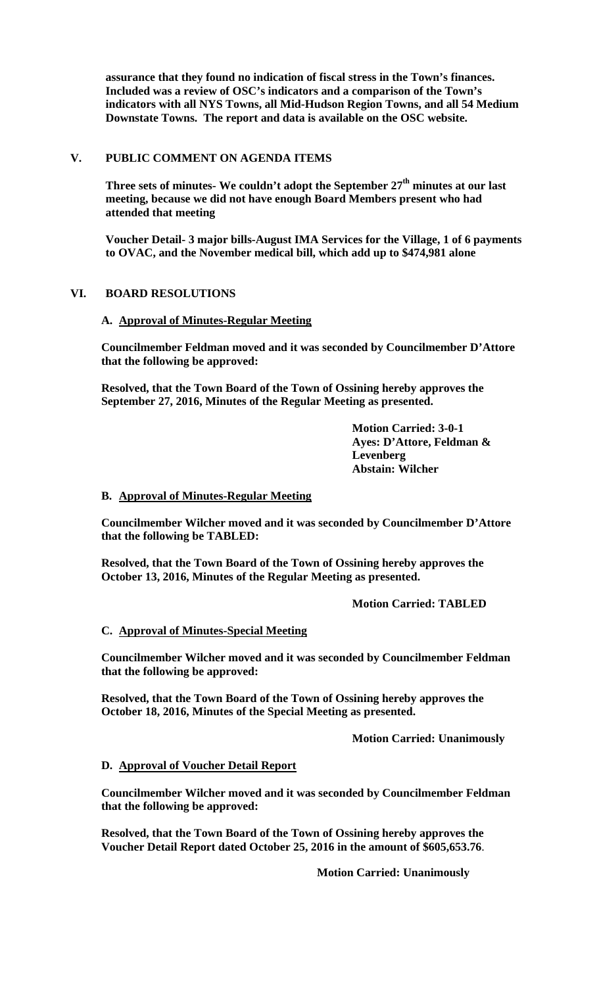**assurance that they found no indication of fiscal stress in the Town's finances. Included was a review of OSC's indicators and a comparison of the Town's indicators with all NYS Towns, all Mid-Hudson Region Towns, and all 54 Medium Downstate Towns. The report and data is available on the OSC website.**

## **V. PUBLIC COMMENT ON AGENDA ITEMS**

Three sets of minutes- We couldn't adopt the September 27<sup>th</sup> minutes at our last **meeting, because we did not have enough Board Members present who had attended that meeting** 

**Voucher Detail- 3 major bills-August IMA Services for the Village, 1 of 6 payments to OVAC, and the November medical bill, which add up to \$474,981 alone** 

# **VI. BOARD RESOLUTIONS**

## **A. Approval of Minutes-Regular Meeting**

**Councilmember Feldman moved and it was seconded by Councilmember D'Attore that the following be approved:** 

**Resolved, that the Town Board of the Town of Ossining hereby approves the September 27, 2016, Minutes of the Regular Meeting as presented.** 

> **Motion Carried: 3-0-1 Ayes: D'Attore, Feldman & Levenberg Abstain: Wilcher**

## **B. Approval of Minutes-Regular Meeting**

**Councilmember Wilcher moved and it was seconded by Councilmember D'Attore that the following be TABLED:** 

**Resolved, that the Town Board of the Town of Ossining hereby approves the October 13, 2016, Minutes of the Regular Meeting as presented.** 

 **Motion Carried: TABLED** 

## **C. Approval of Minutes-Special Meeting**

**Councilmember Wilcher moved and it was seconded by Councilmember Feldman that the following be approved:** 

**Resolved, that the Town Board of the Town of Ossining hereby approves the October 18, 2016, Minutes of the Special Meeting as presented.** 

 **Motion Carried: Unanimously** 

## **D. Approval of Voucher Detail Report**

**Councilmember Wilcher moved and it was seconded by Councilmember Feldman that the following be approved:** 

**Resolved, that the Town Board of the Town of Ossining hereby approves the Voucher Detail Report dated October 25, 2016 in the amount of \$605,653.76**.

**Motion Carried: Unanimously**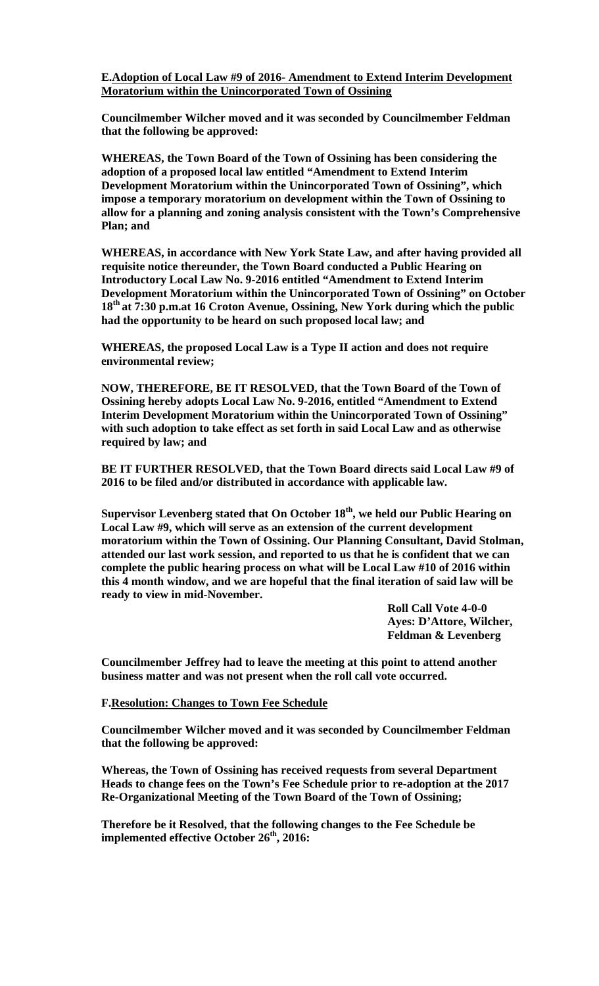**E.Adoption of Local Law #9 of 2016- Amendment to Extend Interim Development Moratorium within the Unincorporated Town of Ossining**

**Councilmember Wilcher moved and it was seconded by Councilmember Feldman that the following be approved:** 

**WHEREAS, the Town Board of the Town of Ossining has been considering the adoption of a proposed local law entitled "Amendment to Extend Interim Development Moratorium within the Unincorporated Town of Ossining", which impose a temporary moratorium on development within the Town of Ossining to allow for a planning and zoning analysis consistent with the Town's Comprehensive Plan; and** 

**WHEREAS, in accordance with New York State Law, and after having provided all requisite notice thereunder, the Town Board conducted a Public Hearing on Introductory Local Law No. 9-2016 entitled "Amendment to Extend Interim Development Moratorium within the Unincorporated Town of Ossining" on October 18th at 7:30 p.m.at 16 Croton Avenue, Ossining, New York during which the public had the opportunity to be heard on such proposed local law; and** 

**WHEREAS, the proposed Local Law is a Type II action and does not require environmental review;** 

**NOW, THEREFORE, BE IT RESOLVED, that the Town Board of the Town of Ossining hereby adopts Local Law No. 9-2016, entitled "Amendment to Extend Interim Development Moratorium within the Unincorporated Town of Ossining" with such adoption to take effect as set forth in said Local Law and as otherwise required by law; and** 

**BE IT FURTHER RESOLVED, that the Town Board directs said Local Law #9 of 2016 to be filed and/or distributed in accordance with applicable law.** 

**Supervisor Levenberg stated that On October 18th, we held our Public Hearing on Local Law #9, which will serve as an extension of the current development moratorium within the Town of Ossining. Our Planning Consultant, David Stolman, attended our last work session, and reported to us that he is confident that we can complete the public hearing process on what will be Local Law #10 of 2016 within this 4 month window, and we are hopeful that the final iteration of said law will be ready to view in mid-November.** 

> **Roll Call Vote 4-0-0 Ayes: D'Attore, Wilcher, Feldman & Levenberg**

**Councilmember Jeffrey had to leave the meeting at this point to attend another business matter and was not present when the roll call vote occurred.** 

### **F.Resolution: Changes to Town Fee Schedule**

**Councilmember Wilcher moved and it was seconded by Councilmember Feldman that the following be approved:** 

**Whereas, the Town of Ossining has received requests from several Department Heads to change fees on the Town's Fee Schedule prior to re-adoption at the 2017 Re-Organizational Meeting of the Town Board of the Town of Ossining;** 

**Therefore be it Resolved, that the following changes to the Fee Schedule be implemented effective October 26<sup>th</sup>, 2016:**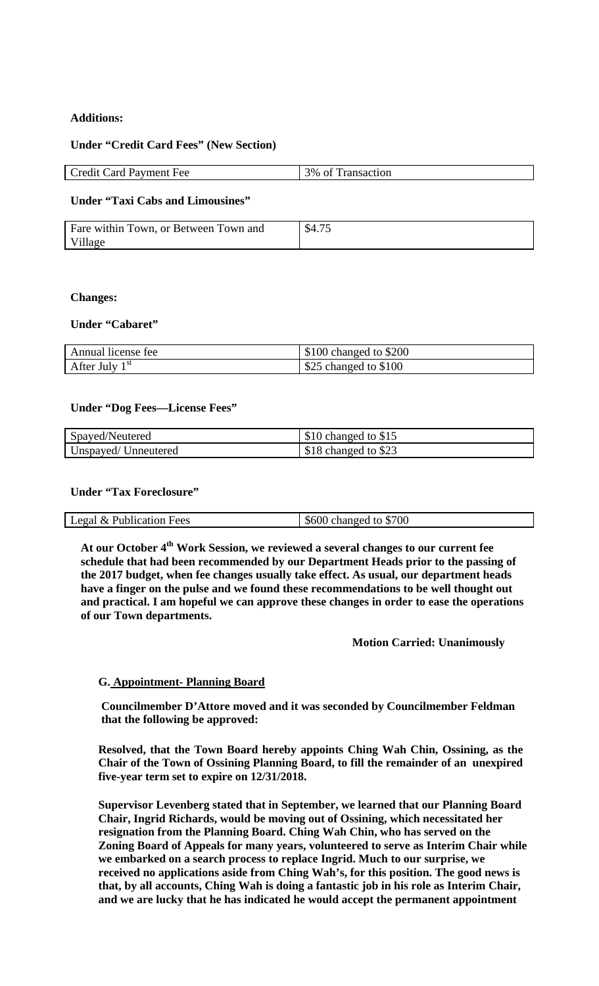## **Additions:**

### **Under "Credit Card Fees" (New Section)**

| <b>Credit Card Payment Fee</b> | 3% of Transaction |
|--------------------------------|-------------------|

## **Under "Taxi Cabs and Limousines"**

| Fare within Town, or Between Town and | \$4.75 |
|---------------------------------------|--------|
| Village                               |        |

### **Changes:**

### **Under "Cabaret"**

| Annual license fee | $$100$ changed to $$200$ |
|--------------------|--------------------------|
| After July $1st$   | \$25 changed to \$100    |

### **Under "Dog Fees—License Fees"**

| Spayed/Neutered     | \$10 changed to \$15 |
|---------------------|----------------------|
| Unspayed/Unneutered | \$18 changed to \$23 |

## **Under "Tax Foreclosure"**

| <b>Publication Fees</b><br>  Legal<br>$\alpha$ | changed to \$700<br>\$600 |
|------------------------------------------------|---------------------------|

At our October 4<sup>th</sup> Work Session, we reviewed a several changes to our current fee **schedule that had been recommended by our Department Heads prior to the passing of the 2017 budget, when fee changes usually take effect. As usual, our department heads have a finger on the pulse and we found these recommendations to be well thought out and practical. I am hopeful we can approve these changes in order to ease the operations of our Town departments.** 

### **Motion Carried: Unanimously**

## **G. Appointment- Planning Board**

**Councilmember D'Attore moved and it was seconded by Councilmember Feldman that the following be approved:** 

**Resolved, that the Town Board hereby appoints Ching Wah Chin, Ossining, as the Chair of the Town of Ossining Planning Board, to fill the remainder of an unexpired five-year term set to expire on 12/31/2018.** 

**Supervisor Levenberg stated that in September, we learned that our Planning Board Chair, Ingrid Richards, would be moving out of Ossining, which necessitated her resignation from the Planning Board. Ching Wah Chin, who has served on the Zoning Board of Appeals for many years, volunteered to serve as Interim Chair while we embarked on a search process to replace Ingrid. Much to our surprise, we received no applications aside from Ching Wah's, for this position. The good news is that, by all accounts, Ching Wah is doing a fantastic job in his role as Interim Chair, and we are lucky that he has indicated he would accept the permanent appointment**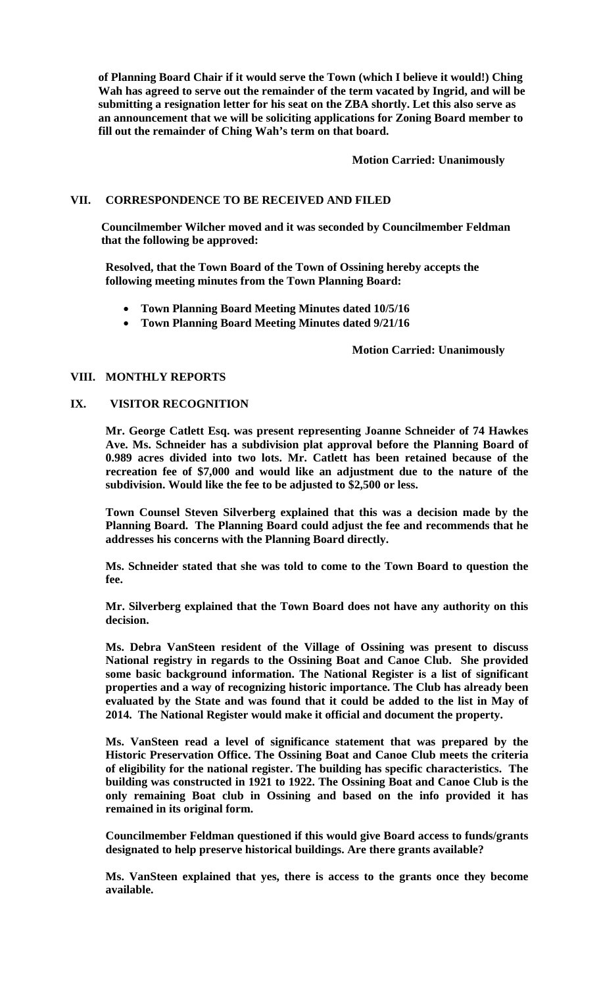**of Planning Board Chair if it would serve the Town (which I believe it would!) Ching Wah has agreed to serve out the remainder of the term vacated by Ingrid, and will be submitting a resignation letter for his seat on the ZBA shortly. Let this also serve as an announcement that we will be soliciting applications for Zoning Board member to fill out the remainder of Ching Wah's term on that board.** 

 **Motion Carried: Unanimously** 

## **VII. CORRESPONDENCE TO BE RECEIVED AND FILED**

**Councilmember Wilcher moved and it was seconded by Councilmember Feldman that the following be approved:** 

**Resolved, that the Town Board of the Town of Ossining hereby accepts the following meeting minutes from the Town Planning Board:** 

- **Town Planning Board Meeting Minutes dated 10/5/16**
- **Town Planning Board Meeting Minutes dated 9/21/16**

#### **Motion Carried: Unanimously**

## **VIII. MONTHLY REPORTS**

### **IX. VISITOR RECOGNITION**

**Mr. George Catlett Esq. was present representing Joanne Schneider of 74 Hawkes Ave. Ms. Schneider has a subdivision plat approval before the Planning Board of 0.989 acres divided into two lots. Mr. Catlett has been retained because of the recreation fee of \$7,000 and would like an adjustment due to the nature of the subdivision. Would like the fee to be adjusted to \$2,500 or less.** 

**Town Counsel Steven Silverberg explained that this was a decision made by the Planning Board. The Planning Board could adjust the fee and recommends that he addresses his concerns with the Planning Board directly.** 

**Ms. Schneider stated that she was told to come to the Town Board to question the fee.** 

**Mr. Silverberg explained that the Town Board does not have any authority on this decision.** 

**Ms. Debra VanSteen resident of the Village of Ossining was present to discuss National registry in regards to the Ossining Boat and Canoe Club. She provided some basic background information. The National Register is a list of significant properties and a way of recognizing historic importance. The Club has already been evaluated by the State and was found that it could be added to the list in May of 2014. The National Register would make it official and document the property.** 

**Ms. VanSteen read a level of significance statement that was prepared by the Historic Preservation Office. The Ossining Boat and Canoe Club meets the criteria of eligibility for the national register. The building has specific characteristics. The building was constructed in 1921 to 1922. The Ossining Boat and Canoe Club is the only remaining Boat club in Ossining and based on the info provided it has remained in its original form.** 

**Councilmember Feldman questioned if this would give Board access to funds/grants designated to help preserve historical buildings. Are there grants available?** 

**Ms. VanSteen explained that yes, there is access to the grants once they become available.**